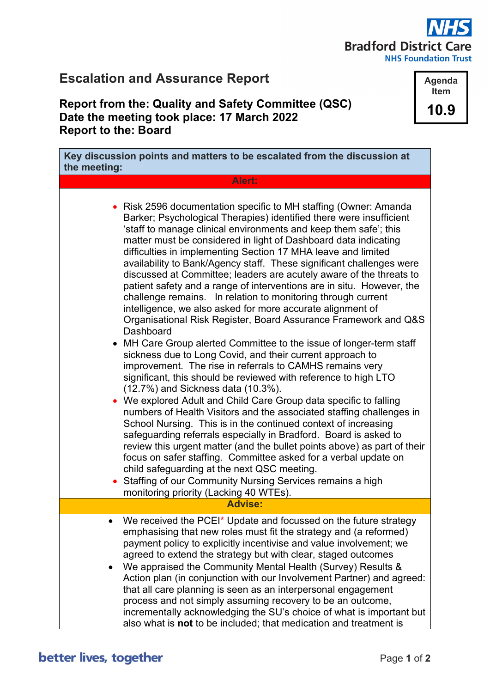## **Bradford District Care NHS Foundation Trust**

## **Escalation and Assurance Report**

## **Report from the: Quality and Safety Committee (QSC) Date the meeting took place: 17 March 2022 Report to the: Board**

| Key discussion points and matters to be escalated from the discussion at<br>the meeting:                                                                                                                                                                                                                                                                                                                                                                                                                                                                                                                                                                                                                                                                                                                                                                                                                                                                                                                                                                                                                                                                                                                                                                                                                                                                                                                                                                                                                                                                                                                                                                                           |
|------------------------------------------------------------------------------------------------------------------------------------------------------------------------------------------------------------------------------------------------------------------------------------------------------------------------------------------------------------------------------------------------------------------------------------------------------------------------------------------------------------------------------------------------------------------------------------------------------------------------------------------------------------------------------------------------------------------------------------------------------------------------------------------------------------------------------------------------------------------------------------------------------------------------------------------------------------------------------------------------------------------------------------------------------------------------------------------------------------------------------------------------------------------------------------------------------------------------------------------------------------------------------------------------------------------------------------------------------------------------------------------------------------------------------------------------------------------------------------------------------------------------------------------------------------------------------------------------------------------------------------------------------------------------------------|
| Alert:                                                                                                                                                                                                                                                                                                                                                                                                                                                                                                                                                                                                                                                                                                                                                                                                                                                                                                                                                                                                                                                                                                                                                                                                                                                                                                                                                                                                                                                                                                                                                                                                                                                                             |
| Risk 2596 documentation specific to MH staffing (Owner: Amanda<br>Barker; Psychological Therapies) identified there were insufficient<br>'staff to manage clinical environments and keep them safe'; this<br>matter must be considered in light of Dashboard data indicating<br>difficulties in implementing Section 17 MHA leave and limited<br>availability to Bank/Agency staff. These significant challenges were<br>discussed at Committee; leaders are acutely aware of the threats to<br>patient safety and a range of interventions are in situ. However, the<br>challenge remains. In relation to monitoring through current<br>intelligence, we also asked for more accurate alignment of<br>Organisational Risk Register, Board Assurance Framework and Q&S<br>Dashboard<br>MH Care Group alerted Committee to the issue of longer-term staff<br>sickness due to Long Covid, and their current approach to<br>improvement. The rise in referrals to CAMHS remains very<br>significant, this should be reviewed with reference to high LTO<br>(12.7%) and Sickness data (10.3%).<br>• We explored Adult and Child Care Group data specific to falling<br>numbers of Health Visitors and the associated staffing challenges in<br>School Nursing. This is in the continued context of increasing<br>safeguarding referrals especially in Bradford. Board is asked to<br>review this urgent matter (and the bullet points above) as part of their<br>focus on safer staffing. Committee asked for a verbal update on<br>child safeguarding at the next QSC meeting.<br>Staffing of our Community Nursing Services remains a high<br>monitoring priority (Lacking 40 WTEs). |
| <b>Advise:</b>                                                                                                                                                                                                                                                                                                                                                                                                                                                                                                                                                                                                                                                                                                                                                                                                                                                                                                                                                                                                                                                                                                                                                                                                                                                                                                                                                                                                                                                                                                                                                                                                                                                                     |
| We received the PCEI* Update and focussed on the future strategy<br>emphasising that new roles must fit the strategy and (a reformed)<br>payment policy to explicitly incentivise and value involvement; we<br>agreed to extend the strategy but with clear, staged outcomes<br>We appraised the Community Mental Health (Survey) Results &<br>$\bullet$<br>Action plan (in conjunction with our Involvement Partner) and agreed:<br>that all care planning is seen as an interpersonal engagement<br>process and not simply assuming recovery to be an outcome,<br>incrementally acknowledging the SU's choice of what is important but<br>also what is not to be included; that medication and treatment is                                                                                                                                                                                                                                                                                                                                                                                                                                                                                                                                                                                                                                                                                                                                                                                                                                                                                                                                                                      |

**Agenda Item 10.9**